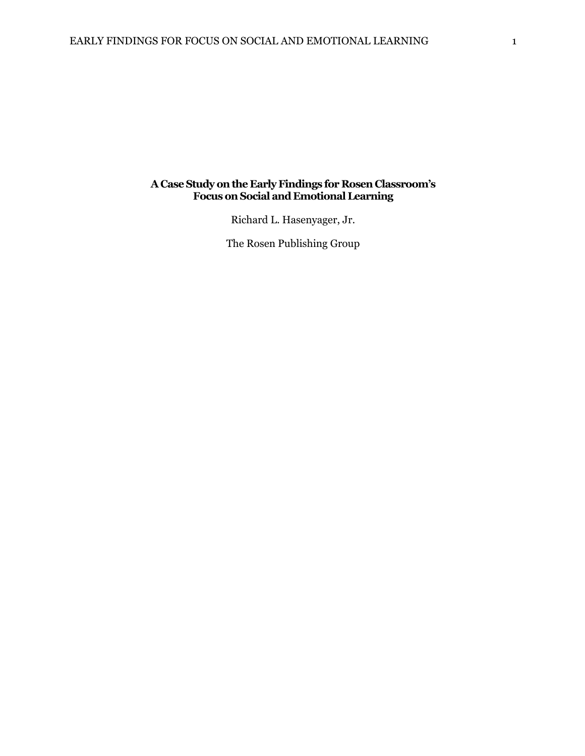### **A Case Study on the Early Findings for Rosen Classroom's Focus on Social and Emotional Learning**

Richard L. Hasenyager, Jr.

The Rosen Publishing Group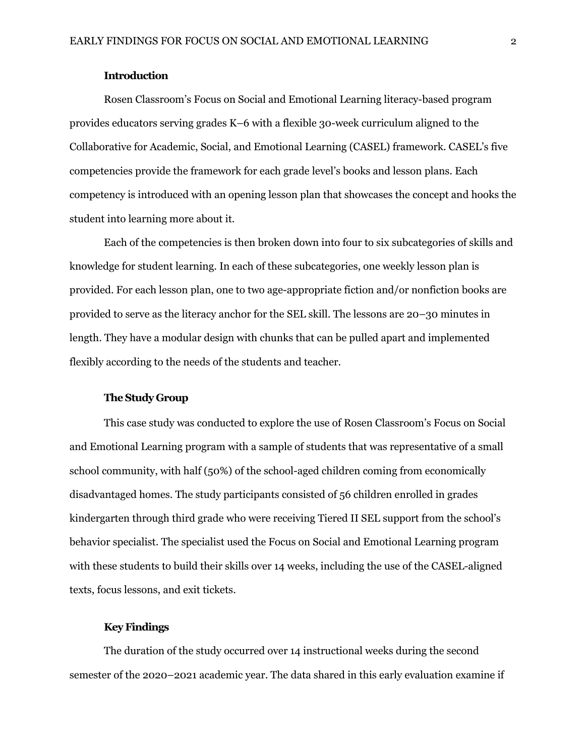### **Introduction**

Rosen Classroom's Focus on Social and Emotional Learning literacy-based program provides educators serving grades K–6 with a flexible 30-week curriculum aligned to the Collaborative for Academic, Social, and Emotional Learning (CASEL) framework. CASEL's five competencies provide the framework for each grade level's books and lesson plans. Each competency is introduced with an opening lesson plan that showcases the concept and hooks the student into learning more about it.

Each of the competencies is then broken down into four to six subcategories of skills and knowledge for student learning. In each of these subcategories, one weekly lesson plan is provided. For each lesson plan, one to two age-appropriate fiction and/or nonfiction books are provided to serve as the literacy anchor for the SEL skill. The lessons are 20–30 minutes in length. They have a modular design with chunks that can be pulled apart and implemented flexibly according to the needs of the students and teacher.

#### **The Study Group**

This case study was conducted to explore the use of Rosen Classroom's Focus on Social and Emotional Learning program with a sample of students that was representative of a small school community, with half (50%) of the school-aged children coming from economically disadvantaged homes. The study participants consisted of 56 children enrolled in grades kindergarten through third grade who were receiving Tiered II SEL support from the school's behavior specialist. The specialist used the Focus on Social and Emotional Learning program with these students to build their skills over 14 weeks, including the use of the CASEL-aligned texts, focus lessons, and exit tickets.

#### **Key Findings**

The duration of the study occurred over 14 instructional weeks during the second semester of the 2020–2021 academic year. The data shared in this early evaluation examine if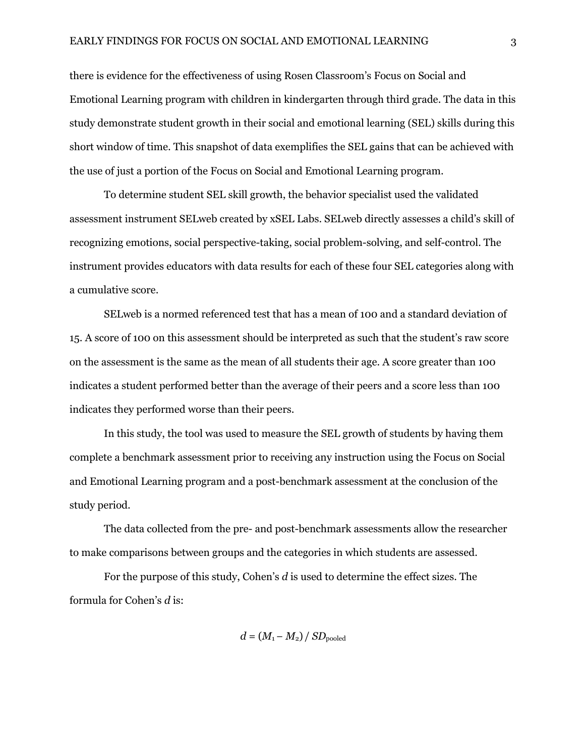there is evidence for the effectiveness of using Rosen Classroom's Focus on Social and Emotional Learning program with children in kindergarten through third grade. The data in this study demonstrate student growth in their social and emotional learning (SEL) skills during this short window of time. This snapshot of data exemplifies the SEL gains that can be achieved with the use of just a portion of the Focus on Social and Emotional Learning program.

To determine student SEL skill growth, the behavior specialist used the validated assessment instrument SELweb created by xSEL Labs. SELweb directly assesses a child's skill of recognizing emotions, social perspective-taking, social problem-solving, and self-control. The instrument provides educators with data results for each of these four SEL categories along with a cumulative score.

SELweb is a normed referenced test that has a mean of 100 and a standard deviation of 15. A score of 100 on this assessment should be interpreted as such that the student's raw score on the assessment is the same as the mean of all students their age. A score greater than 100 indicates a student performed better than the average of their peers and a score less than 100 indicates they performed worse than their peers.

In this study, the tool was used to measure the SEL growth of students by having them complete a benchmark assessment prior to receiving any instruction using the Focus on Social and Emotional Learning program and a post-benchmark assessment at the conclusion of the study period.

The data collected from the pre- and post-benchmark assessments allow the researcher to make comparisons between groups and the categories in which students are assessed.

For the purpose of this study, Cohen's *d* is used to determine the effect sizes. The formula for Cohen's *d* is:

 $d = (M_1 - M_2) / SD_{pooled}$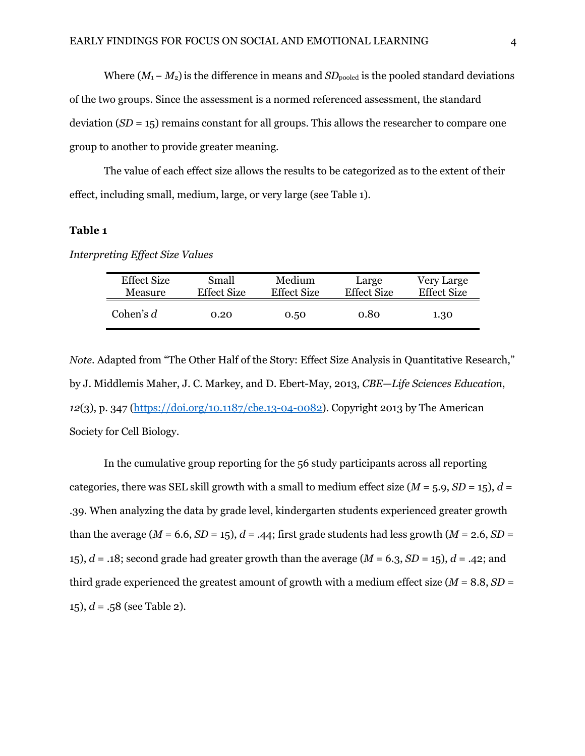Where  $(M_1 - M_2)$  is the difference in means and  $SD_{pooled}$  is the pooled standard deviations of the two groups. Since the assessment is a normed referenced assessment, the standard deviation (*SD* = 15) remains constant for all groups. This allows the researcher to compare one group to another to provide greater meaning.

The value of each effect size allows the results to be categorized as to the extent of their effect, including small, medium, large, or very large (see Table 1).

## **Table 1**

| <b>Effect Size</b> | Small              | Medium             | Large              | Very Large         |
|--------------------|--------------------|--------------------|--------------------|--------------------|
| Measure            | <b>Effect Size</b> | <b>Effect Size</b> | <b>Effect Size</b> | <b>Effect Size</b> |
| Cohen's $d$        | 0.20               | 0.50               | 0.80               | 1.30               |

*Interpreting Effect Size Values*

*Note*. Adapted from "The Other Half of the Story: Effect Size Analysis in Quantitative Research," by J. Middlemis Maher, J. C. Markey, and D. Ebert-May, 2013, *CBE—Life Sciences Education*, *12*(3), p. 347 (https://doi.org/10.1187/cbe.13-04-0082). Copyright 2013 by The American Society for Cell Biology.

In the cumulative group reporting for the 56 study participants across all reporting categories, there was SEL skill growth with a small to medium effect size  $(M = 5.9, SD = 15)$ ,  $d =$ .39. When analyzing the data by grade level, kindergarten students experienced greater growth than the average  $(M = 6.6, SD = 15)$ ,  $d = .44$ ; first grade students had less growth  $(M = 2.6, SD = 15)$ 15),  $d = .18$ ; second grade had greater growth than the average  $(M = 6.3, SD = 15)$ ,  $d = .42$ ; and third grade experienced the greatest amount of growth with a medium effect size  $(M = 8.8, SD =$ 15),  $d = .58$  (see Table 2).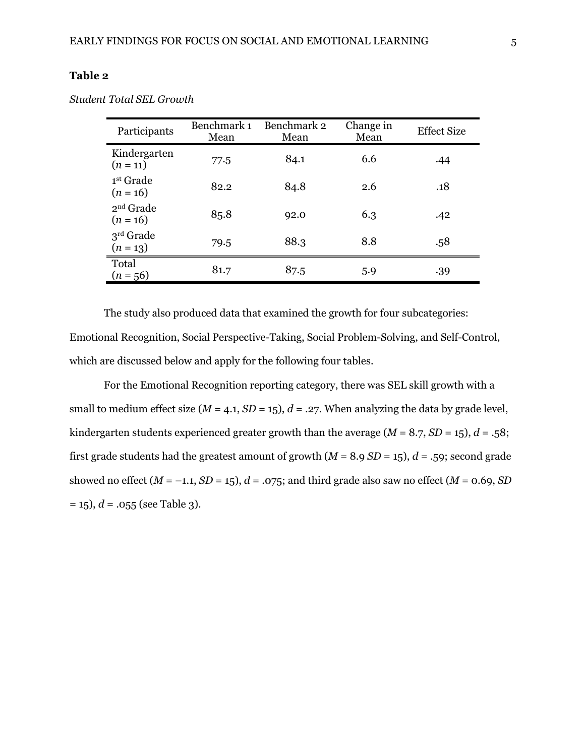| Participants                        | Benchmark 1<br>Mean | Benchmark 2<br>Mean | Change in<br>Mean | Effect Size |
|-------------------------------------|---------------------|---------------------|-------------------|-------------|
| Kindergarten<br>$(n = 11)$          | 77.5                | 84.1                | 6.6               | .44         |
| 1 <sup>st</sup> Grade<br>$(n = 16)$ | 82.2                | 84.8                | 2.6               | .18         |
| $2nd$ Grade<br>$(n = 16)$           | 85.8                | 92.0                | 6.3               | .42         |
| $3rd$ Grade<br>$(n = 13)$           | 79.5                | 88.3                | 8.8               | .58         |
| Total<br>$(n = 56)$                 | 81.7                | 87.5                | 5.9               | .39         |

*Student Total SEL Growth*

The study also produced data that examined the growth for four subcategories: Emotional Recognition, Social Perspective-Taking, Social Problem-Solving, and Self-Control, which are discussed below and apply for the following four tables.

For the Emotional Recognition reporting category, there was SEL skill growth with a small to medium effect size ( $M = 4.1$ ,  $SD = 15$ ),  $d = .27$ . When analyzing the data by grade level, kindergarten students experienced greater growth than the average  $(M = 8.7, SD = 15)$ ,  $d = .58$ ; first grade students had the greatest amount of growth (*M* = 8.9 *SD* = 15), *d* = .59; second grade showed no effect  $(M = -1.1, SD = 15)$ ,  $d = .075$ ; and third grade also saw no effect  $(M = 0.69, SD$  $= 15$ ),  $d = .055$  (see Table 3).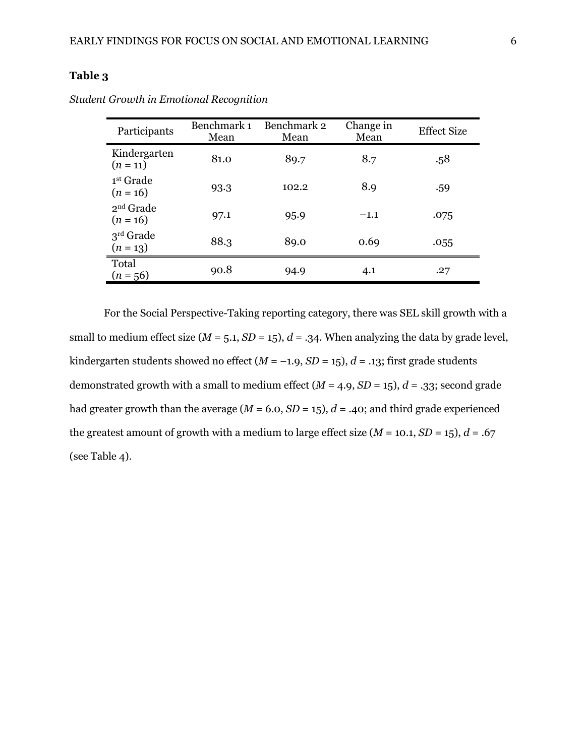| Participants               | Benchmark 1<br>Mean | Benchmark 2<br>Mean | Change in<br>Mean | <b>Effect Size</b> |
|----------------------------|---------------------|---------------------|-------------------|--------------------|
| Kindergarten<br>$(n = 11)$ | 81.0                | 89.7                | 8.7               | .58                |
| 1st Grade<br>$(n = 16)$    | 93.3                | 102.2               | 8.9               | .59                |
| $2nd$ Grade<br>$(n = 16)$  | 97.1                | 95.9                | $-1.1$            | .075               |
| $3rd$ Grade<br>$(n = 13)$  | 88.3                | 89.0                | 0.69              | .055               |
| Total<br>$(n = 56)$        | 90.8                | 94.9                | 4.1               | .27                |

*Student Growth in Emotional Recognition*

For the Social Perspective-Taking reporting category, there was SEL skill growth with a small to medium effect size  $(M = 5.1, SD = 15)$ ,  $d = .34$ . When analyzing the data by grade level, kindergarten students showed no effect  $(M = -1.9, SD = 15)$ ,  $d = .13$ ; first grade students demonstrated growth with a small to medium effect  $(M = 4.9, SD = 15)$ ,  $d = .33$ ; second grade had greater growth than the average  $(M = 6.0, SD = 15)$ ,  $d = .40$ ; and third grade experienced the greatest amount of growth with a medium to large effect size  $(M = 10.1, SD = 15)$ ,  $d = .67$ (see Table 4).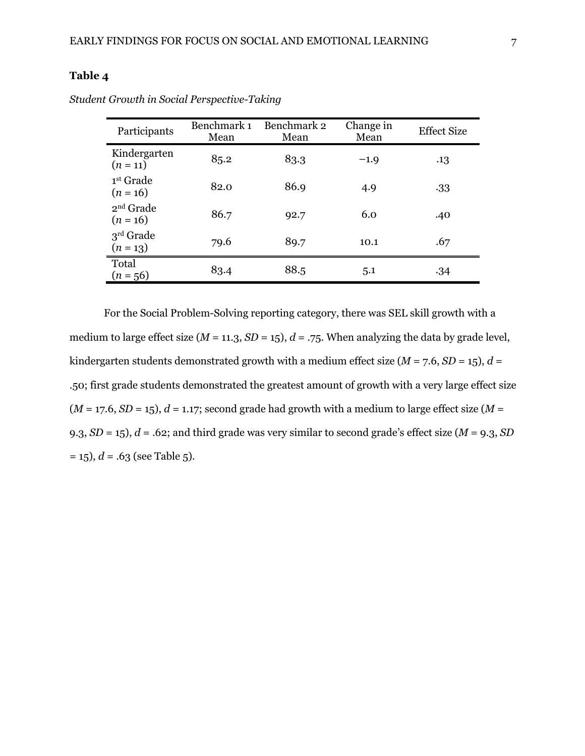| Participants                        | Benchmark 1<br>Mean | Benchmark 2<br>Mean | Change in<br>Mean | <b>Effect Size</b> |
|-------------------------------------|---------------------|---------------------|-------------------|--------------------|
| Kindergarten<br>$(n = 11)$          | 85.2                | 83.3                | $-1.9$            | .13                |
| 1 <sup>st</sup> Grade<br>$(n = 16)$ | 82.0                | 86.9                | 4.9               | .33                |
| $2nd$ Grade<br>$(n = 16)$           | 86.7                | 92.7                | 6.0               | .40                |
| $3rd$ Grade<br>$(n = 13)$           | 79.6                | 89.7                | 10.1              | .67                |
| Total<br>$(n = 56)$                 | 83.4                | 88.5                | 5.1               | .34                |

*Student Growth in Social Perspective-Taking*

For the Social Problem-Solving reporting category, there was SEL skill growth with a medium to large effect size ( $M = 11.3$ ,  $SD = 15$ ),  $d = .75$ . When analyzing the data by grade level, kindergarten students demonstrated growth with a medium effect size ( $M = 7.6$ ,  $SD = 15$ ),  $d =$ .50; first grade students demonstrated the greatest amount of growth with a very large effect size  $(M = 17.6, SD = 15)$ ,  $d = 1.17$ ; second grade had growth with a medium to large effect size  $(M = 17.6, SD = 15)$ 9.3, *SD* = 15), *d* = .62; and third grade was very similar to second grade's effect size (*M* = 9.3, *SD*  $= 15$ ,  $d = .63$  (see Table 5).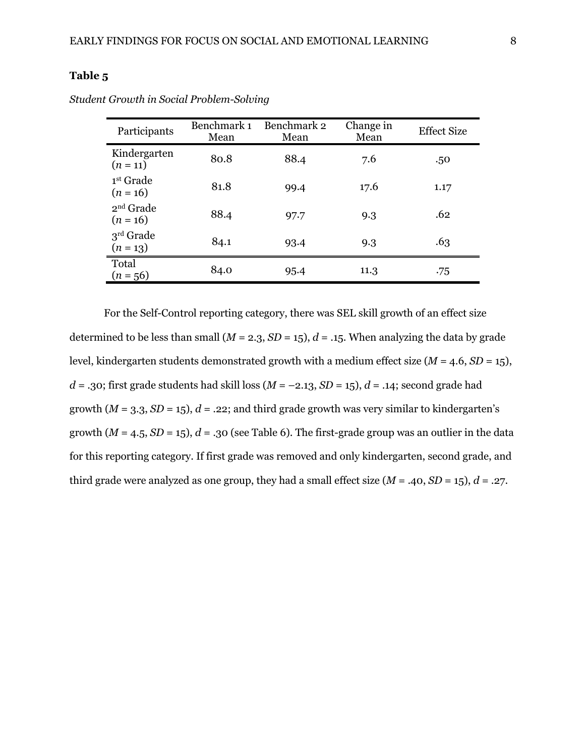| Participants                        | Benchmark 1<br>Mean | Benchmark 2<br>Mean | Change in<br>Mean | <b>Effect Size</b> |
|-------------------------------------|---------------------|---------------------|-------------------|--------------------|
| Kindergarten<br>$(n = 11)$          | 80.8                | 88.4                | 7.6               | .50                |
| 1 <sup>st</sup> Grade<br>$(n = 16)$ | 81.8                | 99.4                | 17.6              | 1.17               |
| $2nd$ Grade<br>$(n = 16)$           | 88.4                | 97.7                | 9.3               | .62                |
| $3rd$ Grade<br>$(n = 13)$           | 84.1                | 93.4                | 9.3               | .63                |
| Total<br>$(n = 56)$                 | 84.0                | 95.4                | 11.3              | .75                |

*Student Growth in Social Problem-Solving*

For the Self-Control reporting category, there was SEL skill growth of an effect size determined to be less than small  $(M = 2.3, SD = 15)$ ,  $d = .15$ . When analyzing the data by grade level, kindergarten students demonstrated growth with a medium effect size (*M* = 4.6, *SD* = 15),  $d = .30$ ; first grade students had skill loss ( $M = -2.13$ ,  $SD = 15$ ),  $d = .14$ ; second grade had growth  $(M = 3.3, SD = 15)$ ,  $d = .22$ ; and third grade growth was very similar to kindergarten's growth  $(M = 4.5, SD = 15)$ ,  $d = .30$  (see Table 6). The first-grade group was an outlier in the data for this reporting category. If first grade was removed and only kindergarten, second grade, and third grade were analyzed as one group, they had a small effect size  $(M = .40, SD = 15)$ ,  $d = .27$ .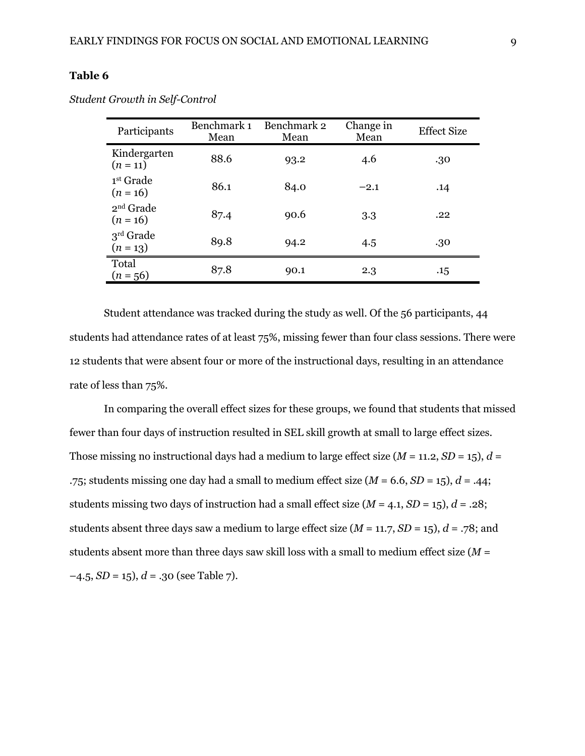| Benchmark 1<br>Mean | Benchmark 2<br>Mean | Change in<br>Mean | <b>Effect Size</b> |
|---------------------|---------------------|-------------------|--------------------|
| 88.6                | 93.2                | 4.6               | .30                |
| 86.1                | 84.0                | $-2.1$            | .14                |
| 87.4                | 90.6                | 3.3               | .22                |
| 89.8                | 94.2                | 4.5               | .30                |
| 87.8                | 90.1                | 2.3               | .15                |
|                     |                     |                   |                    |

*Student Growth in Self-Control*

Student attendance was tracked during the study as well. Of the 56 participants, 44 students had attendance rates of at least 75%, missing fewer than four class sessions. There were 12 students that were absent four or more of the instructional days, resulting in an attendance rate of less than 75%.

In comparing the overall effect sizes for these groups, we found that students that missed fewer than four days of instruction resulted in SEL skill growth at small to large effect sizes. Those missing no instructional days had a medium to large effect size  $(M = 11.2, SD = 15)$ ,  $d =$ .75; students missing one day had a small to medium effect size  $(M = 6.6, SD = 15)$ ,  $d = .44$ ; students missing two days of instruction had a small effect size  $(M = 4.1, SD = 15)$ ,  $d = .28$ ; students absent three days saw a medium to large effect size  $(M = 11.7, SD = 15)$ ,  $d = .78$ ; and students absent more than three days saw skill loss with a small to medium effect size (*M* =  $-4.5$ ,  $SD = 15$ ),  $d = .30$  (see Table 7).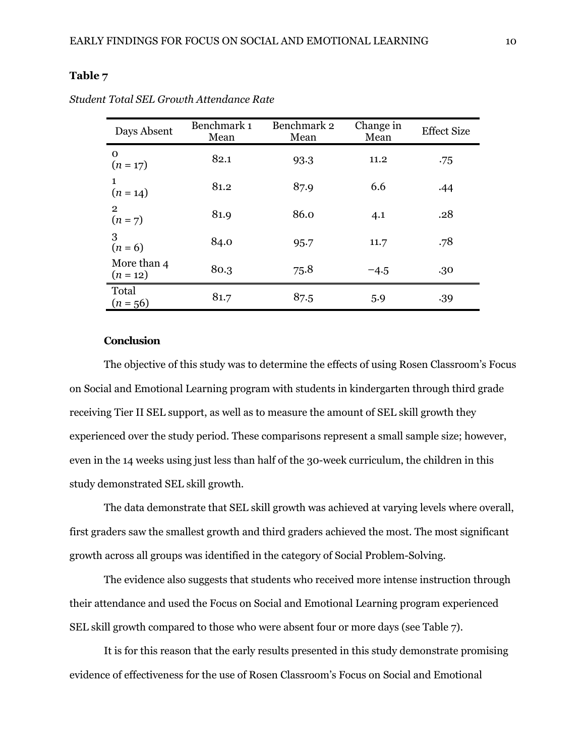| Days Absent                 | Benchmark 1<br>Mean | Benchmark 2<br>Mean | Change in<br>Mean | <b>Effect Size</b> |
|-----------------------------|---------------------|---------------------|-------------------|--------------------|
| 0<br>$(n = 17)$             | 82.1                | 93.3                | 11.2              | .75                |
| $(n = 14)$                  | 81.2                | 87.9                | 6.6               | .44                |
| $\overline{2}$<br>$(n = 7)$ | 81.9                | 86.0                | 4.1               | .28                |
| 3<br>$(n = 6)$              | 84.0                | 95.7                | 11.7              | .78                |
| More than 4<br>$(n = 12)$   | 80.3                | 75.8                | $-4.5$            | .30                |
| Total<br>$(n = 56)$         | 81.7                | 87.5                | 5.9               | .39                |

*Student Total SEL Growth Attendance Rate*

#### **Conclusion**

The objective of this study was to determine the effects of using Rosen Classroom's Focus on Social and Emotional Learning program with students in kindergarten through third grade receiving Tier II SEL support, as well as to measure the amount of SEL skill growth they experienced over the study period. These comparisons represent a small sample size; however, even in the 14 weeks using just less than half of the 30-week curriculum, the children in this study demonstrated SEL skill growth.

The data demonstrate that SEL skill growth was achieved at varying levels where overall, first graders saw the smallest growth and third graders achieved the most. The most significant growth across all groups was identified in the category of Social Problem-Solving.

The evidence also suggests that students who received more intense instruction through their attendance and used the Focus on Social and Emotional Learning program experienced SEL skill growth compared to those who were absent four or more days (see Table 7).

It is for this reason that the early results presented in this study demonstrate promising evidence of effectiveness for the use of Rosen Classroom's Focus on Social and Emotional